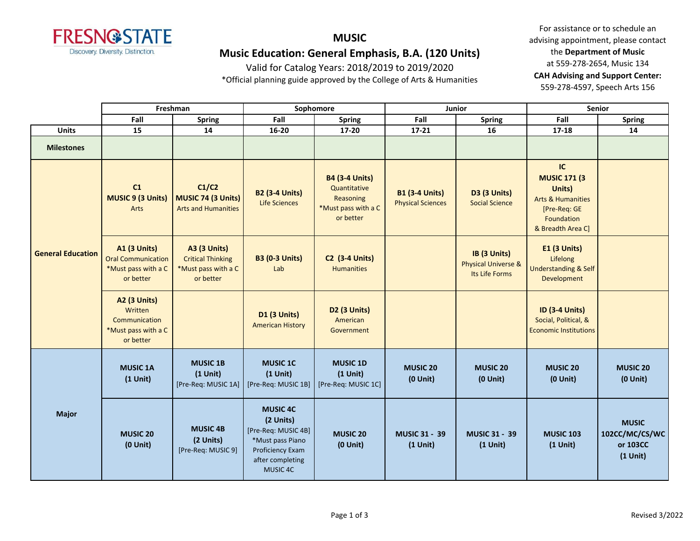

# **MUSIC Music Education: General Emphasis, B.A. (120 Units)**

Valid for Catalog Years: 2018/2019 to 2019/2020

\*Official planning guide approved by the College of Arts & Humanities

|                          | Freshman                                                                             |                                                                                     | Sophomore                                                                                                                   |                                                                                        | Junior                                            |                                                                  | <b>Senior</b>                                                                                                          |                                                          |
|--------------------------|--------------------------------------------------------------------------------------|-------------------------------------------------------------------------------------|-----------------------------------------------------------------------------------------------------------------------------|----------------------------------------------------------------------------------------|---------------------------------------------------|------------------------------------------------------------------|------------------------------------------------------------------------------------------------------------------------|----------------------------------------------------------|
|                          | Fall                                                                                 | Spring                                                                              | Fall                                                                                                                        | <b>Spring</b>                                                                          | Fall                                              | <b>Spring</b>                                                    | Fall                                                                                                                   | <b>Spring</b>                                            |
| <b>Units</b>             | 15                                                                                   | 14                                                                                  | 16-20                                                                                                                       | 17-20                                                                                  | 17-21                                             | 16                                                               | 17-18                                                                                                                  | 14                                                       |
| <b>Milestones</b>        |                                                                                      |                                                                                     |                                                                                                                             |                                                                                        |                                                   |                                                                  |                                                                                                                        |                                                          |
| <b>General Education</b> | C1<br><b>MUSIC 9 (3 Units)</b><br>Arts                                               | C1/C2<br>MUSIC 74 (3 Units)<br><b>Arts and Humanities</b>                           | <b>B2 (3-4 Units)</b><br><b>Life Sciences</b>                                                                               | <b>B4 (3-4 Units)</b><br>Quantitative<br>Reasoning<br>*Must pass with a C<br>or better | <b>B1 (3-4 Units)</b><br><b>Physical Sciences</b> | <b>D3 (3 Units)</b><br><b>Social Science</b>                     | IC<br><b>MUSIC 171 (3</b><br>Units)<br><b>Arts &amp; Humanities</b><br>[Pre-Req: GE<br>Foundation<br>& Breadth Area C] |                                                          |
|                          | <b>A1 (3 Units)</b><br><b>Oral Communication</b><br>*Must pass with a C<br>or better | <b>A3 (3 Units)</b><br><b>Critical Thinking</b><br>*Must pass with a C<br>or better | <b>B3 (0-3 Units)</b><br>Lab                                                                                                | <b>C2 (3-4 Units)</b><br><b>Humanities</b>                                             |                                                   | IB (3 Units)<br><b>Physical Universe &amp;</b><br>Its Life Forms | E1 (3 Units)<br>Lifelong<br><b>Understanding &amp; Self</b><br>Development                                             |                                                          |
|                          | A2 (3 Units)<br>Written<br>Communication<br>*Must pass with a C<br>or better         |                                                                                     | D1 (3 Units)<br><b>American History</b>                                                                                     | D2 (3 Units)<br>American<br>Government                                                 |                                                   |                                                                  | ID (3-4 Units)<br>Social, Political, &<br><b>Economic Institutions</b>                                                 |                                                          |
| <b>Major</b>             | <b>MUSIC 1A</b><br>$(1$ Unit)                                                        | <b>MUSIC 1B</b><br>$(1$ Unit)<br>[Pre-Req: MUSIC 1A]                                | <b>MUSIC 1C</b><br>$(1$ Unit)<br>[Pre-Req: MUSIC 1B]                                                                        | <b>MUSIC 1D</b><br>$(1$ Unit)<br>[Pre-Req: MUSIC 1C]                                   | <b>MUSIC 20</b><br>$(0$ Unit)                     | <b>MUSIC 20</b><br>$(0$ Unit)                                    | <b>MUSIC 20</b><br>$(0$ Unit)                                                                                          | <b>MUSIC 20</b><br>$(0$ Unit)                            |
|                          | MUSIC 20<br>$(0$ Unit)                                                               | <b>MUSIC 4B</b><br>(2 Units)<br>[Pre-Req: MUSIC 9]                                  | <b>MUSIC 4C</b><br>(2 Units)<br>[Pre-Req: MUSIC 4B]<br>*Must pass Piano<br>Proficiency Exam<br>after completing<br>MUSIC 4C | MUSIC <sub>20</sub><br>$(0$ Unit $)$                                                   | <b>MUSIC 31 - 39</b><br>$(1$ Unit)                | <b>MUSIC 31 - 39</b><br>$(1$ Unit)                               | <b>MUSIC 103</b><br>$(1$ Unit)                                                                                         | <b>MUSIC</b><br>102CC/MC/CS/WC<br>or 103CC<br>$(1$ Unit) |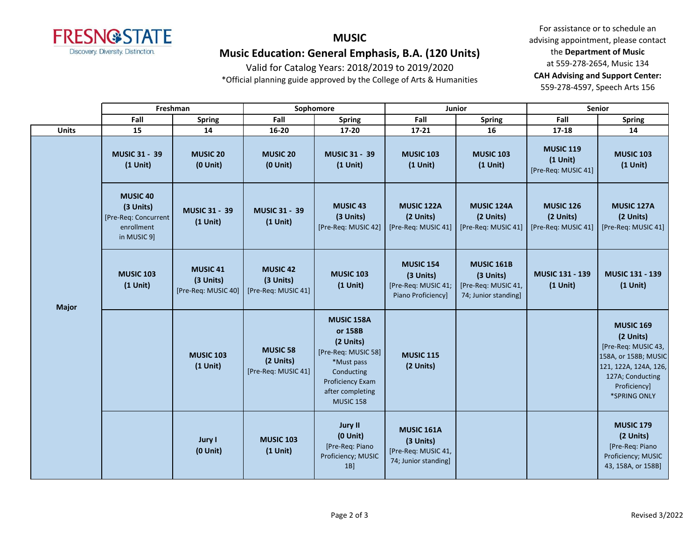

# **MUSIC Music Education: General Emphasis, B.A. (120 Units)**

Valid for Catalog Years: 2018/2019 to 2019/2020

\*Official planning guide approved by the College of Arts & Humanities

|              | Freshman                                                                           |                                                     | Sophomore                                           |                                                                                                                                                          | Junior                                                                        |                                                                               | <b>Senior</b>                                         |                                                                                                                                                           |
|--------------|------------------------------------------------------------------------------------|-----------------------------------------------------|-----------------------------------------------------|----------------------------------------------------------------------------------------------------------------------------------------------------------|-------------------------------------------------------------------------------|-------------------------------------------------------------------------------|-------------------------------------------------------|-----------------------------------------------------------------------------------------------------------------------------------------------------------|
|              | Fall                                                                               | <b>Spring</b>                                       | Fall                                                | <b>Spring</b>                                                                                                                                            | Fall                                                                          | <b>Spring</b>                                                                 | Fall                                                  | <b>Spring</b>                                                                                                                                             |
| <b>Units</b> | 15                                                                                 | 14                                                  | 16-20                                               | 17-20                                                                                                                                                    | $17 - 21$                                                                     | 16                                                                            | 17-18                                                 | 14                                                                                                                                                        |
| <b>Major</b> | <b>MUSIC 31 - 39</b><br>$(1$ Unit)                                                 | <b>MUSIC 20</b><br>$(0$ Unit $)$                    | <b>MUSIC 20</b><br>$(0$ Unit $)$                    | <b>MUSIC 31 - 39</b><br>$(1$ Unit)                                                                                                                       | <b>MUSIC 103</b><br>$(1$ Unit)                                                | <b>MUSIC 103</b><br>$(1$ Unit)                                                | <b>MUSIC 119</b><br>$(1$ Unit)<br>[Pre-Req: MUSIC 41] | <b>MUSIC 103</b><br>$(1$ Unit)                                                                                                                            |
|              | <b>MUSIC 40</b><br>(3 Units)<br>[Pre-Req: Concurrent]<br>enrollment<br>in MUSIC 9] | <b>MUSIC 31 - 39</b><br>$(1$ Unit)                  | <b>MUSIC 31 - 39</b><br>$(1$ Unit)                  | <b>MUSIC 43</b><br>(3 Units)<br>[Pre-Req: MUSIC 42]                                                                                                      | <b>MUSIC 122A</b><br>(2 Units)<br>[Pre-Req: MUSIC 41]                         | MUSIC 124A<br>(2 Units)<br>[Pre-Req: MUSIC 41]                                | <b>MUSIC 126</b><br>(2 Units)<br>[Pre-Req: MUSIC 41]  | <b>MUSIC 127A</b><br>(2 Units)<br>[Pre-Req: MUSIC 41]                                                                                                     |
|              | <b>MUSIC 103</b><br>$(1$ Unit)                                                     | <b>MUSIC 41</b><br>(3 Units)<br>[Pre-Req: MUSIC 40] | <b>MUSIC 42</b><br>(3 Units)<br>[Pre-Req: MUSIC 41] | <b>MUSIC 103</b><br>$(1$ Unit)                                                                                                                           | <b>MUSIC 154</b><br>(3 Units)<br>[Pre-Req: MUSIC 41;<br>Piano Proficiency]    | <b>MUSIC 161B</b><br>(3 Units)<br>[Pre-Req: MUSIC 41,<br>74; Junior standing] | MUSIC 131 - 139<br>$(1$ Unit)                         | <b>MUSIC 131 - 139</b><br>$(1$ Unit)                                                                                                                      |
|              |                                                                                    | <b>MUSIC 103</b><br>$(1$ Unit)                      | <b>MUSIC 58</b><br>(2 Units)<br>[Pre-Req: MUSIC 41] | <b>MUSIC 158A</b><br>or 158B<br>(2 Units)<br>[Pre-Req: MUSIC 58]<br>*Must pass<br>Conducting<br>Proficiency Exam<br>after completing<br><b>MUSIC 158</b> | <b>MUSIC 115</b><br>(2 Units)                                                 |                                                                               |                                                       | <b>MUSIC 169</b><br>(2 Units)<br>[Pre-Req: MUSIC 43,<br>158A, or 158B; MUSIC<br>121, 122A, 124A, 126,<br>127A; Conducting<br>Proficiency]<br>*SPRING ONLY |
|              |                                                                                    | Jury I<br>$(0$ Unit)                                | <b>MUSIC 103</b><br>$(1$ Unit)                      | <b>Jury II</b><br>$(0$ Unit)<br>[Pre-Req: Piano<br>Proficiency; MUSIC<br>$1B$ ]                                                                          | <b>MUSIC 161A</b><br>(3 Units)<br>[Pre-Req: MUSIC 41,<br>74; Junior standing] |                                                                               |                                                       | <b>MUSIC 179</b><br>(2 Units)<br>[Pre-Req: Piano<br>Proficiency; MUSIC<br>43, 158A, or 158B]                                                              |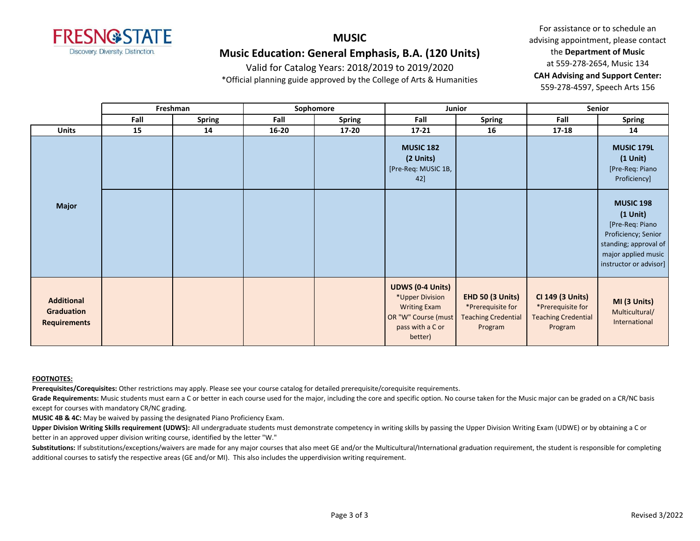

# **MUSIC Music Education: General Emphasis, B.A. (120 Units)**

Valid for Catalog Years: 2018/2019 to 2019/2020

\*Official planning guide approved by the College of Arts & Humanities

For assistance or to schedule an advising appointment, please contact the **Department of Music** at 559-278-2654, Music 134 **CAH Advising and Support Center:**  559-278-4597, Speech Arts 156

|                                                        | Freshman |               | Sophomore |               | Junior                                                                                                                  |                                                                                       | <b>Senior</b>                                                                  |                                                                                                                                                    |
|--------------------------------------------------------|----------|---------------|-----------|---------------|-------------------------------------------------------------------------------------------------------------------------|---------------------------------------------------------------------------------------|--------------------------------------------------------------------------------|----------------------------------------------------------------------------------------------------------------------------------------------------|
|                                                        | Fall     | <b>Spring</b> | Fall      | <b>Spring</b> | Fall                                                                                                                    | <b>Spring</b>                                                                         | Fall                                                                           | <b>Spring</b>                                                                                                                                      |
| <b>Units</b>                                           | 15       | 14            | $16 - 20$ | $17 - 20$     | $17 - 21$                                                                                                               | 16                                                                                    | 17-18                                                                          | 14                                                                                                                                                 |
| <b>Major</b>                                           |          |               |           |               | <b>MUSIC 182</b><br>(2 Units)<br>[Pre-Req: MUSIC 1B,<br>42]                                                             |                                                                                       |                                                                                | <b>MUSIC 179L</b><br>$(1$ Unit $)$<br>[Pre-Req: Piano<br>Proficiency]                                                                              |
|                                                        |          |               |           |               |                                                                                                                         |                                                                                       |                                                                                | <b>MUSIC 198</b><br>$(1$ Unit)<br>[Pre-Req: Piano<br>Proficiency; Senior<br>standing; approval of<br>major applied music<br>instructor or advisor] |
| <b>Additional</b><br>Graduation<br><b>Requirements</b> |          |               |           |               | <b>UDWS (0-4 Units)</b><br>*Upper Division<br><b>Writing Exam</b><br>OR "W" Course (must<br>pass with a C or<br>better) | <b>EHD 50 (3 Units)</b><br>*Prerequisite for<br><b>Teaching Credential</b><br>Program | CI 149 (3 Units)<br>*Prerequisite for<br><b>Teaching Credential</b><br>Program | MI (3 Units)<br>Multicultural/<br>International                                                                                                    |

#### **FOOTNOTES:**

**Prerequisites/Corequisites:** Other restrictions may apply. Please see your course catalog for detailed prerequisite/corequisite requirements.

Grade Requirements: Music students must earn a C or better in each course used for the major, including the core and specific option. No course taken for the Music major can be graded on a CR/NC basis except for courses with mandatory CR/NC grading.

**MUSIC 4B & 4C:** May be waived by passing the designated Piano Proficiency Exam.

**Upper Division Writing Skills requirement (UDWS):** All undergraduate students must demonstrate competency in writing skills by passing the Upper Division Writing Exam (UDWE) or by obtaining a C or better in an approved upper division writing course, identified by the letter "W."

Substitutions: If substitutions/exceptions/waivers are made for any major courses that also meet GE and/or the Multicultural/International graduation requirement, the student is responsible for completing additional courses to satisfy the respective areas (GE and/or MI). This also includes the upperdivision writing requirement.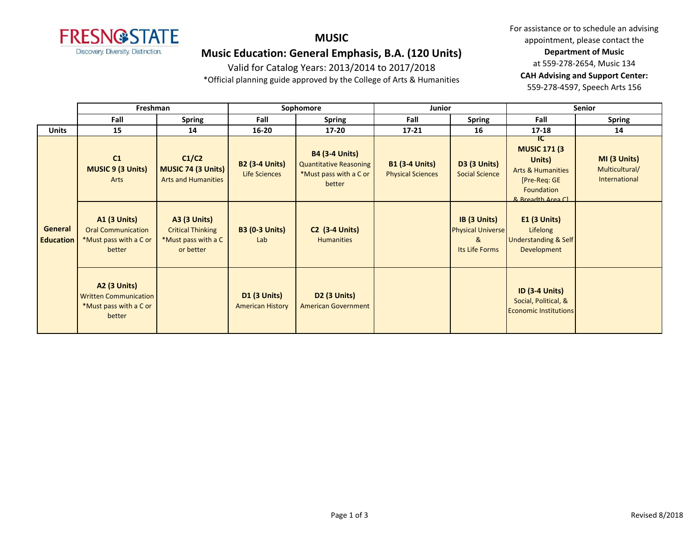

## **MUSIC**

# **Music Education: General Emphasis, B.A. (120 Units)**

Valid for Catalog Years: 2013/2014 to 2017/2018

\*Official planning guide approved by the College of Arts & Humanities

|                                    | Freshman                                                                                |                                                                                     | Sophomore                                      |                                                                                     | Junior                                            |                                                                 | <b>Senior</b>                                                                                                             |                                                 |
|------------------------------------|-----------------------------------------------------------------------------------------|-------------------------------------------------------------------------------------|------------------------------------------------|-------------------------------------------------------------------------------------|---------------------------------------------------|-----------------------------------------------------------------|---------------------------------------------------------------------------------------------------------------------------|-------------------------------------------------|
|                                    | Fall                                                                                    | <b>Spring</b>                                                                       | Fall                                           | <b>Spring</b>                                                                       | Fall                                              | <b>Spring</b>                                                   | Fall                                                                                                                      | <b>Spring</b>                                   |
| <b>Units</b>                       | 15                                                                                      | 14                                                                                  | $16 - 20$                                      | $17 - 20$                                                                           | $17 - 21$                                         | 16                                                              | $17 - 18$                                                                                                                 | 14                                              |
| <b>General</b><br><b>Education</b> | C1<br><b>MUSIC 9 (3 Units)</b><br>Arts                                                  | C1/C2<br>MUSIC 74 (3 Units)<br><b>Arts and Humanities</b>                           | <b>B2 (3-4 Units)</b><br>Life Sciences         | <b>B4 (3-4 Units)</b><br>Quantitative Reasoning<br>*Must pass with a C or<br>better | <b>B1 (3-4 Units)</b><br><b>Physical Sciences</b> | <b>D3 (3 Units)</b><br><b>Social Science</b>                    | IC.<br><b>MUSIC 171 (3)</b><br>Units)<br><b>Arts &amp; Humanities</b><br>[Pre-Reg: GE<br>Foundation<br>8. Rreadth Area Cl | MI (3 Units)<br>Multicultural/<br>International |
|                                    | <b>A1 (3 Units)</b><br><b>Oral Communication</b><br>*Must pass with a C or<br>better    | <b>A3 (3 Units)</b><br><b>Critical Thinking</b><br>*Must pass with a C<br>or better | <b>B3 (0-3 Units)</b><br>Lab                   | <b>C2 (3-4 Units)</b><br><b>Humanities</b>                                          |                                                   | IB (3 Units)<br><b>Physical Universe</b><br>&<br>Its Life Forms | $E1$ (3 Units)<br>Lifelong<br><b>Understanding &amp; Self</b><br>Development                                              |                                                 |
|                                    | <b>A2 (3 Units)</b><br><b>Written Communication</b><br>*Must pass with a C or<br>better |                                                                                     | <b>D1 (3 Units)</b><br><b>American History</b> | <b>D2 (3 Units)</b><br><b>American Government</b>                                   |                                                   |                                                                 | <b>ID (3-4 Units)</b><br>Social, Political, &<br><b>Economic Institutions</b>                                             |                                                 |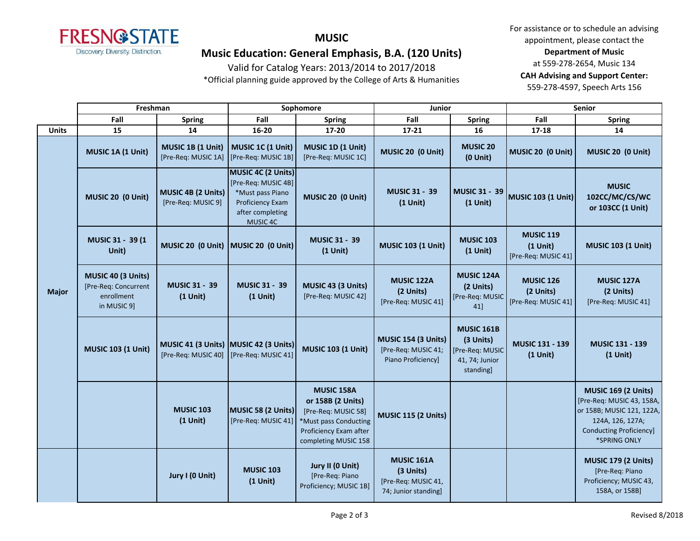

### **MUSIC**

# **Music Education: General Emphasis, B.A. (120 Units)**

Valid for Catalog Years: 2013/2014 to 2017/2018

\*Official planning guide approved by the College of Arts & Humanities

|              | Freshman                                                                |                                                              | Sophomore                                                                                                         |                                                                                                                                   | Junior                                                                        |                                                                                 | <b>Senior</b>                                         |                                                                                                                                                            |
|--------------|-------------------------------------------------------------------------|--------------------------------------------------------------|-------------------------------------------------------------------------------------------------------------------|-----------------------------------------------------------------------------------------------------------------------------------|-------------------------------------------------------------------------------|---------------------------------------------------------------------------------|-------------------------------------------------------|------------------------------------------------------------------------------------------------------------------------------------------------------------|
|              | Fall                                                                    | <b>Spring</b>                                                | Fall                                                                                                              | <b>Spring</b>                                                                                                                     | Fall                                                                          | <b>Spring</b>                                                                   | Fall                                                  | <b>Spring</b>                                                                                                                                              |
| <b>Units</b> | 15                                                                      | 14                                                           | 16-20                                                                                                             | 17-20                                                                                                                             | $17 - 21$                                                                     | 16                                                                              | 17-18                                                 | 14                                                                                                                                                         |
| <b>Major</b> | MUSIC 1A (1 Unit)                                                       | MUSIC 1B (1 Unit)<br>[Pre-Req: MUSIC 1A]                     | MUSIC 1C (1 Unit)<br>[Pre-Req: MUSIC 1B]                                                                          | MUSIC 1D (1 Unit)<br>[Pre-Req: MUSIC 1C]                                                                                          | MUSIC 20 (0 Unit)                                                             | <b>MUSIC 20</b><br>$(0$ Unit $)$                                                | MUSIC 20 (0 Unit)                                     | MUSIC 20 (0 Unit)                                                                                                                                          |
|              | MUSIC 20 (0 Unit)                                                       | MUSIC 4B (2 Units)<br>[Pre-Req: MUSIC 9]                     | MUSIC 4C (2 Units)<br>[Pre-Req: MUSIC 4B]<br>*Must pass Piano<br>Proficiency Exam<br>after completing<br>MUSIC 4C | MUSIC 20 (0 Unit)                                                                                                                 | <b>MUSIC 31 - 39</b><br>$(1$ Unit)                                            | <b>MUSIC 31 - 39</b><br>$(1$ Unit)                                              | <b>MUSIC 103 (1 Unit)</b>                             | <b>MUSIC</b><br>102CC/MC/CS/WC<br>or 103CC (1 Unit)                                                                                                        |
|              | MUSIC 31 - 39 (1<br>Unit)                                               | MUSIC 20 (0 Unit)                                            | MUSIC 20 (0 Unit)                                                                                                 | <b>MUSIC 31 - 39</b><br>$(1$ Unit)                                                                                                | <b>MUSIC 103 (1 Unit)</b>                                                     | <b>MUSIC 103</b><br>$(1$ Unit)                                                  | <b>MUSIC 119</b><br>$(1$ Unit)<br>[Pre-Req: MUSIC 41] | <b>MUSIC 103 (1 Unit)</b>                                                                                                                                  |
|              | MUSIC 40 (3 Units)<br>[Pre-Req: Concurrent<br>enrollment<br>in MUSIC 9] | <b>MUSIC 31 - 39</b><br>$(1$ Unit)                           | <b>MUSIC 31 - 39</b><br>$(1$ Unit)                                                                                | MUSIC 43 (3 Units)<br>[Pre-Req: MUSIC 42]                                                                                         | <b>MUSIC 122A</b><br>(2 Units)<br>[Pre-Req: MUSIC 41]                         | MUSIC 124A<br>(2 Units)<br>[Pre-Req: MUSIC<br>41]                               | <b>MUSIC 126</b><br>(2 Units)<br>[Pre-Req: MUSIC 41]  | <b>MUSIC 127A</b><br>(2 Units)<br>[Pre-Req: MUSIC 41]                                                                                                      |
|              | <b>MUSIC 103 (1 Unit)</b>                                               | MUSIC 41 (3 Units) MUSIC 42 (3 Units)<br>[Pre-Req: MUSIC 40] | [Pre-Req: MUSIC 41]                                                                                               | <b>MUSIC 103 (1 Unit)</b>                                                                                                         | MUSIC 154 (3 Units)<br>[Pre-Req: MUSIC 41;<br>Piano Proficiency]              | <b>MUSIC 161B</b><br>(3 Units)<br>[Pre-Req: MUSIC<br>41, 74; Junior<br>standing | MUSIC 131 - 139<br>$(1$ Unit)                         | MUSIC 131 - 139<br>$(1$ Unit)                                                                                                                              |
|              |                                                                         | <b>MUSIC 103</b><br>$(1$ Unit)                               | MUSIC 58 (2 Units)<br>[Pre-Req: MUSIC 41]                                                                         | MUSIC 158A<br>or 158B (2 Units)<br>[Pre-Req: MUSIC 58]<br>*Must pass Conducting<br>Proficiency Exam after<br>completing MUSIC 158 | <b>MUSIC 115 (2 Units)</b>                                                    |                                                                                 |                                                       | <b>MUSIC 169 (2 Units)</b><br>[Pre-Req: MUSIC 43, 158A,<br>or 158B; MUSIC 121, 122A,<br>124A, 126, 127A;<br><b>Conducting Proficiency]</b><br>*SPRING ONLY |
|              |                                                                         | Jury I (0 Unit)                                              | <b>MUSIC 103</b><br>$(1$ Unit)                                                                                    | Jury II (0 Unit)<br>[Pre-Req: Piano<br>Proficiency; MUSIC 1B]                                                                     | <b>MUSIC 161A</b><br>(3 Units)<br>[Pre-Req: MUSIC 41,<br>74; Junior standing] |                                                                                 |                                                       | <b>MUSIC 179 (2 Units)</b><br>[Pre-Req: Piano<br>Proficiency; MUSIC 43,<br>158A, or 158B]                                                                  |